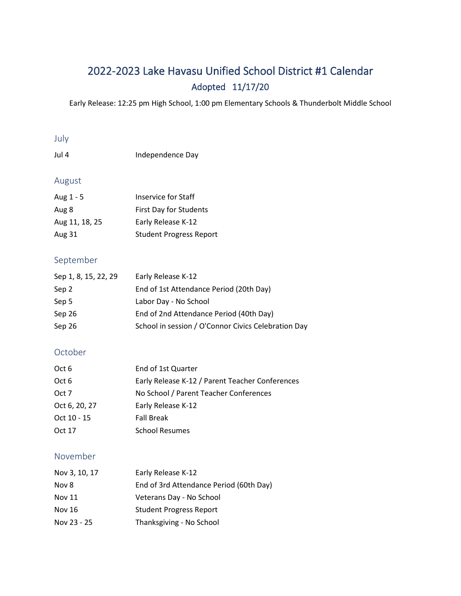# 2022-2023 Lake Havasu Unified School District #1 Calendar Adopted 11/17/20

Early Release: 12:25 pm High School, 1:00 pm Elementary Schools & Thunderbolt Middle School

#### July

| Jul 4 | Independence Day |
|-------|------------------|
|       |                  |

### August

| Aug 1 - 5      | <b>Inservice for Staff</b>     |
|----------------|--------------------------------|
| Aug 8          | First Day for Students         |
| Aug 11, 18, 25 | Early Release K-12             |
| Aug 31         | <b>Student Progress Report</b> |

### September

| Sep 1, 8, 15, 22, 29 | Early Release K-12                                  |
|----------------------|-----------------------------------------------------|
| Sep 2                | End of 1st Attendance Period (20th Day)             |
| Sep 5                | Labor Day - No School                               |
| Sep 26               | End of 2nd Attendance Period (40th Day)             |
| Sep 26               | School in session / O'Connor Civics Celebration Day |

# October

| Oct 6         | End of 1st Quarter                              |
|---------------|-------------------------------------------------|
| Oct 6         | Early Release K-12 / Parent Teacher Conferences |
| Oct 7         | No School / Parent Teacher Conferences          |
| Oct 6, 20, 27 | Early Release K-12                              |
| Oct 10 - 15   | <b>Fall Break</b>                               |
| Oct 17        | <b>School Resumes</b>                           |

#### November

| Nov 3, 10, 17 | Early Release K-12                      |
|---------------|-----------------------------------------|
| Nov 8         | End of 3rd Attendance Period (60th Day) |
| Nov 11        | Veterans Day - No School                |
| Nov 16        | <b>Student Progress Report</b>          |
| Nov 23 - 25   | Thanksgiving - No School                |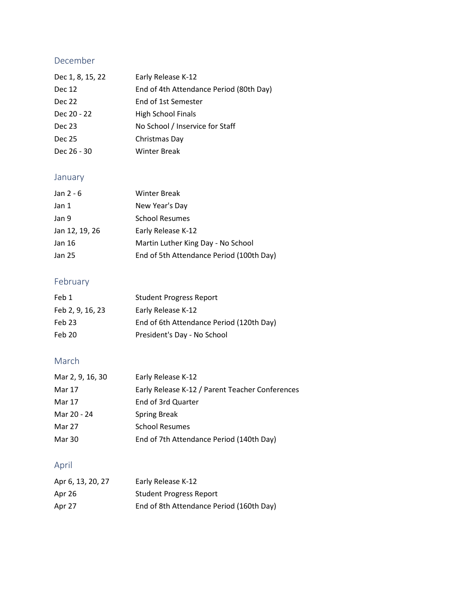# December

| Early Release K-12                      |
|-----------------------------------------|
| End of 4th Attendance Period (80th Day) |
| End of 1st Semester                     |
| High School Finals                      |
| No School / Inservice for Staff         |
| Christmas Day                           |
| <b>Winter Break</b>                     |
|                                         |

# January

| Jan $2 - 6$    | <b>Winter Break</b>                      |
|----------------|------------------------------------------|
| Jan 1          | New Year's Day                           |
| Jan 9          | <b>School Resumes</b>                    |
| Jan 12, 19, 26 | Early Release K-12                       |
| Jan 16         | Martin Luther King Day - No School       |
| Jan 25         | End of 5th Attendance Period (100th Day) |

# February

| Feb 1            | <b>Student Progress Report</b>           |
|------------------|------------------------------------------|
| Feb 2, 9, 16, 23 | Early Release K-12                       |
| Feb 23           | End of 6th Attendance Period (120th Day) |
| Feb 20           | President's Day - No School              |

# March

| Mar 2, 9, 16, 30 | Early Release K-12                              |
|------------------|-------------------------------------------------|
| Mar 17           | Early Release K-12 / Parent Teacher Conferences |
| Mar 17           | End of 3rd Quarter                              |
| Mar 20 - 24      | <b>Spring Break</b>                             |
| Mar 27           | <b>School Resumes</b>                           |
| Mar 30           | End of 7th Attendance Period (140th Day)        |

# April

| Apr 6, 13, 20, 27 | Early Release K-12                       |
|-------------------|------------------------------------------|
| Apr 26            | <b>Student Progress Report</b>           |
| Apr 27            | End of 8th Attendance Period (160th Day) |